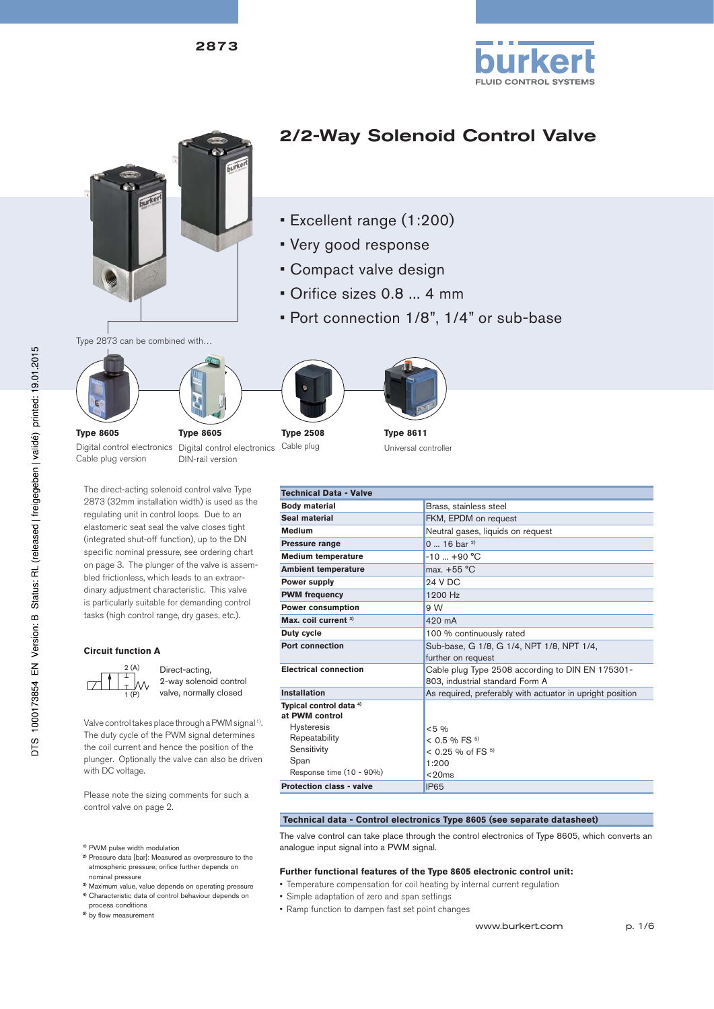



# 2/2-Way Solenoid Control Valve

- Excellent range (1:200)
- Very good response
- Compact valve design
- Orifice sizes 0.8 ... 4 mm
- Port connection 1/8", 1/4" or sub-base

Type 2873 can be combined with…







**Technical Data - Valve**

Cable plug



**Type 8611** Universal controller

Digital control electronics Digital control electronics **Type 8605** Cable plug version

DIN-rail version

**Type 8605**

The direct-acting solenoid control valve Type 2873 (32mm installation width) is used as the regulating unit in control loops. Due to an elastomeric seat seal the valve closes tight (integrated shut-off function), up to the DN specific nominal pressure, see ordering chart on page 3. The plunger of the valve is assembled frictionless, which leads to an extraordinary adjustment characteristic. This valve is particularly suitable for demanding control tasks (high control range, dry gases, etc.).

#### **Circuit function A**



Direct-acting, 2-way solenoid control valve, normally closed

Valve control takes place through a PWM signal<sup>1)</sup>. The duty cycle of the PWM signal determines the coil current and hence the position of the plunger. Optionally the valve can also be driven with DC voltage.

Please note the sizing comments for such a control valve on page 2.

- **1)** PWM pulse width modulation
- **2)** Pressure data [bar]: Measured as overpressure to the atmospheric pressure, orifice further depends on nominal pressure
- **3)** Maximum value, value depends on operating pressure
- **4)** Characteristic data of control behaviour depends on
- process conditions <sup>5)</sup> by flow measurement

**Body material Brass, stainless steel<br>
<b>Brass, stainless steel**<br> **Brass, stainless steel**<br> **Brass, stainless steel FKM, EPDM on request Medium Medium Neutral gases, liquids on request Pressure range 19.18 19.18 19.18 19.18 19.18 19.18 19.18 Medium temperature** -10 ... +90 °C<br> **Ambient temperature** max. +55 °C **Ambient temperature Power supply** 24 V DC **PWM frequency** 1200 Hz **Power consumption 9 W Max. coil current 3)** 420 mA **Duty cycle 100** % continuously rated **Port connection** Sub-base, G 1/8, G 1/4, NPT 1/8, NPT 1/4, further on request **Electrical connection Cable plug Type 2508 according to DIN EN 175301-**803, industrial standard Form A **Installation** As required, preferably with actuator in upright position **Typical control data 4) at PWM control** Hysteresis Repeatability **Sensitivity** Span Response time (10 - 90%) <5 %  $<$  0.5 % FS  $^{5)}$  $< 0.25 \%$  of FS  $5)$ 1:200  $<$  20ms **Protection class - valve IP65** 

#### **Technical data - Control electronics Type 8605 (see separate datasheet)**

The valve control can take place through the control electronics of Type 8605, which converts an analogue input signal into a PWM signal.

#### **Further functional features of the Type 8605 electronic control unit:**

- Temperature compensation for coil heating by internal current regulation
	- Simple adaptation of zero and span settings
	- Ramp function to dampen fast set point changes

www.burkert.com p. 1/6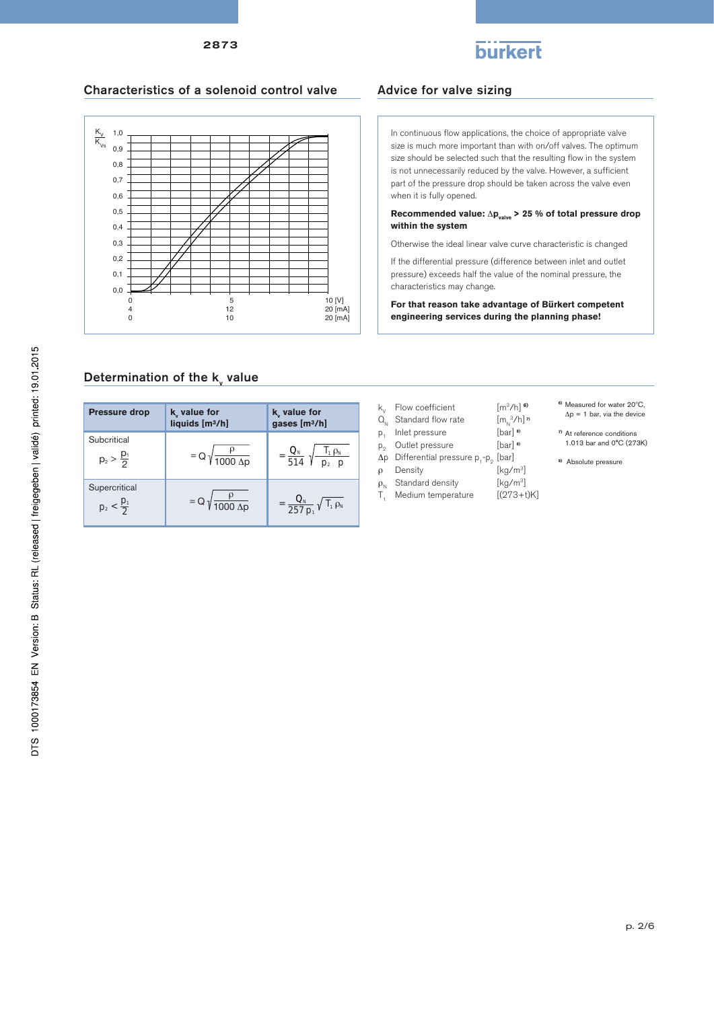

### Characteristics of a solenoid control valve

2873



### Advice for valve sizing

In continuous flow applications, the choice of appropriate valve size is much more important than with on/off valves. The optimum size should be selected such that the resulting flow in the system is not unnecessarily reduced by the valve. However, a sufficient part of the pressure drop should be taken across the valve even when it is fully opened.

**Recommended value:**  $Δp_{value}$  > 25 % of total pressure drop **within the system**

Otherwise the ideal linear valve curve characteristic is changed

If the differential pressure (difference between inlet and outlet pressure) exceeds half the value of the nominal pressure, the characteristics may change.

**For that reason take advantage of Bürkert competent engineering services during the planning phase!**

 $[m_{N}^{3}/h]$ <sup>*n*</sup>

# Determination of the  $\mathsf{k}_{\mathsf{v}}$  value

| <b>Pressure drop</b>                   | k value for<br>liquids [m3/h]        | k value for<br>gases [m3/h]                    |
|----------------------------------------|--------------------------------------|------------------------------------------------|
| Subcritical<br>$p_2 > \frac{p_1}{2}$   | $= Q \sqrt{\frac{P}{1000 \Delta p}}$ | $I_1 \rho_N$<br>$\frac{Q_{N}}{514}$ $\sqrt{ }$ |
| Supercritical<br>$p_2 < \frac{p_1}{2}$ | $= Q \sqrt{\frac{P}{1000 \Delta p}}$ | $=\frac{Q_N}{257 p_1}\sqrt{T_1 \rho_N}$        |

- $k_y$  Flow coefficient  $[m^3/h]$ <sup>6)</sup>
- 
- $Q_N$  Standard flow rate  $[m_N^3/h]$ <br>  $p_1$  Inlet pressure [bar]  $\omega$
- $p_1$  Inlet pressure [bar] **8)**<br> $p_2$  Outlet pressure [bar] **8)** p2 Outlet pressure [bar] **8)**
- $Δp$  Differential pressure p<sub>1</sub>-p<sub>2</sub> [bar]<br>  $ρ$  Density [kg/m<sup>3</sup>]
- $ρ$  Density
- $\rho_N$  Standard density [kg/m<sup>3</sup>]<br>T. Medium temperature [(273+t)K]
- $T_1$  Medium temperature
- **6)** Measured for water 20ºC,
- $\Delta p = 1$  bar, via the device
- **7)** At reference conditions 1.013 bar and 0°C (273K)
- **8)** Absolute pressure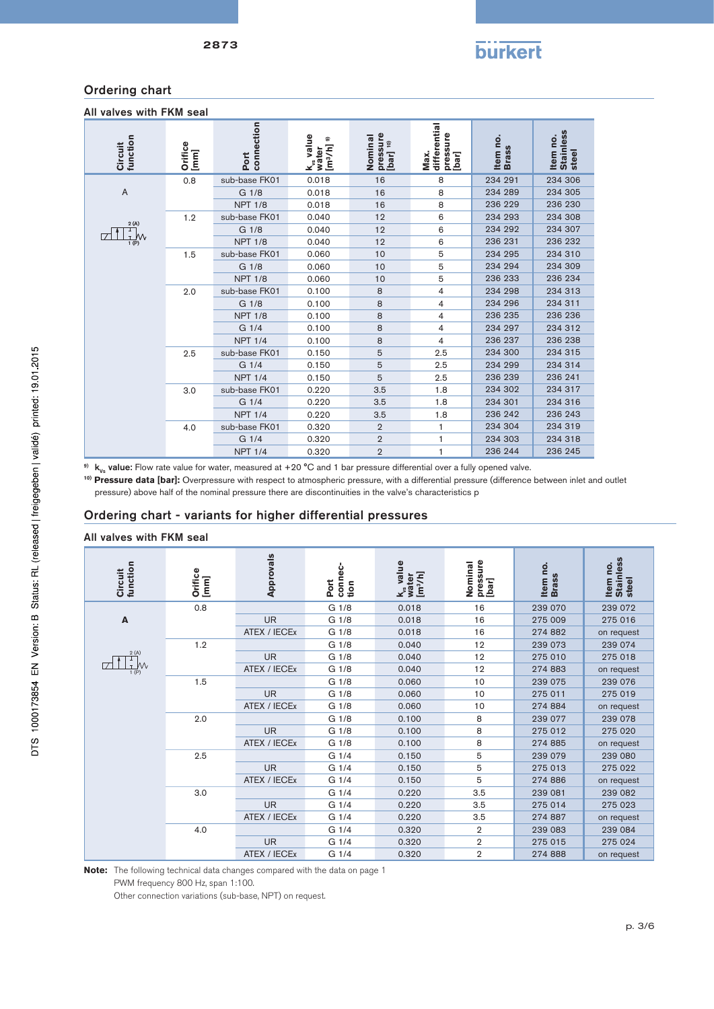#### Ordering chart

| All valves with FKM seal |  |  |
|--------------------------|--|--|
|--------------------------|--|--|

| Circuit<br>function                                                                                                                                                                                                                                                                                                                                                                         | Orifice<br>[mm] | Port<br>connection | value<br>k <sub>vs</sub> value<br>water<br>[m <sup>3</sup> /h] <sup>9)</sup> | pressure<br>[bar] 10)<br>Nominal | differential<br>pressure<br>Max.<br>[bar] | Item no.<br><b>Brass</b> | <b>Stainless</b><br>Item no.<br>steel |
|---------------------------------------------------------------------------------------------------------------------------------------------------------------------------------------------------------------------------------------------------------------------------------------------------------------------------------------------------------------------------------------------|-----------------|--------------------|------------------------------------------------------------------------------|----------------------------------|-------------------------------------------|--------------------------|---------------------------------------|
|                                                                                                                                                                                                                                                                                                                                                                                             | 0.8             | sub-base FK01      | 0.018                                                                        | 16                               | 8                                         | 234 291                  | 234 306                               |
| A                                                                                                                                                                                                                                                                                                                                                                                           |                 | G 1/8              | 0.018                                                                        | 16                               | 8                                         | 234 289                  | 234 305                               |
|                                                                                                                                                                                                                                                                                                                                                                                             |                 | <b>NPT 1/8</b>     | 0.018                                                                        | 16                               | 8                                         | 236 229                  | 236 230                               |
|                                                                                                                                                                                                                                                                                                                                                                                             | 1.2             | sub-base FK01      | 0.040                                                                        | 12                               | 6                                         | 234 293                  | 234 308                               |
| 2(A)                                                                                                                                                                                                                                                                                                                                                                                        |                 | G 1/8              | 0.040                                                                        | 12                               | 6                                         | 234 292                  | 234 307                               |
| $\frac{1}{1(P)}$                                                                                                                                                                                                                                                                                                                                                                            |                 | <b>NPT 1/8</b>     | 0.040                                                                        | 12                               | 6                                         | 236 231                  | 236 232                               |
|                                                                                                                                                                                                                                                                                                                                                                                             | 1.5             | sub-base FK01      | 0.060                                                                        | 10                               | 5                                         | 234 295                  | 234 310                               |
|                                                                                                                                                                                                                                                                                                                                                                                             |                 | G 1/8              | 0.060                                                                        | 10                               | 5                                         | 234 294                  | 234 309                               |
|                                                                                                                                                                                                                                                                                                                                                                                             |                 | <b>NPT 1/8</b>     | 0.060                                                                        | 10                               | 5                                         | 236 233                  | 236 234                               |
|                                                                                                                                                                                                                                                                                                                                                                                             | 2.0             | sub-base FK01      | 0.100                                                                        | 8                                | 4                                         | 234 298                  | 234 313                               |
|                                                                                                                                                                                                                                                                                                                                                                                             |                 | G 1/8              | 0.100                                                                        | 8                                | 4                                         | 234 296                  | 234 311                               |
|                                                                                                                                                                                                                                                                                                                                                                                             |                 | <b>NPT 1/8</b>     | 0.100                                                                        | 8                                | 4                                         | 236 235                  | 236 236                               |
|                                                                                                                                                                                                                                                                                                                                                                                             |                 | G 1/4              | 0.100                                                                        | 8                                | 4                                         | 234 297                  | 234 312                               |
|                                                                                                                                                                                                                                                                                                                                                                                             |                 | <b>NPT 1/4</b>     | 0.100                                                                        | 8                                | 4                                         | 236 237                  | 236 238                               |
|                                                                                                                                                                                                                                                                                                                                                                                             | 2.5             | sub-base FK01      | 0.150                                                                        | 5                                | 2.5                                       | 234 300                  | 234 315                               |
|                                                                                                                                                                                                                                                                                                                                                                                             |                 | G 1/4              | 0.150                                                                        | 5                                | 2.5                                       | 234 299                  | 234 314                               |
|                                                                                                                                                                                                                                                                                                                                                                                             |                 | <b>NPT 1/4</b>     | 0.150                                                                        | 5                                | 2.5                                       | 236 239                  | 236 241                               |
|                                                                                                                                                                                                                                                                                                                                                                                             | 3.0             | sub-base FK01      | 0.220                                                                        | 3.5                              | 1.8                                       | 234 302                  | 234 317                               |
|                                                                                                                                                                                                                                                                                                                                                                                             |                 | G 1/4              | 0.220                                                                        | 3.5                              | 1.8                                       | 234 301                  | 234 316                               |
|                                                                                                                                                                                                                                                                                                                                                                                             |                 | <b>NPT 1/4</b>     | 0.220                                                                        | 3.5                              | 1.8                                       | 236 242                  | 236 243                               |
|                                                                                                                                                                                                                                                                                                                                                                                             | 4.0             | sub-base FK01      | 0.320                                                                        | $\overline{2}$                   | 1                                         | 234 304                  | 234 319                               |
|                                                                                                                                                                                                                                                                                                                                                                                             |                 | G 1/4              | 0.320                                                                        | $\overline{2}$                   | 1                                         | 234 303                  | 234 318                               |
|                                                                                                                                                                                                                                                                                                                                                                                             |                 | <b>NPT 1/4</b>     | 0.320                                                                        | $\overline{2}$                   | 1                                         | 236 244                  | 236 245                               |
| <sup>9)</sup> $k_{v_s}$ value: Flow rate value for water, measured at +20 °C and 1 bar pressure differential over a fully opened valve.<br>10) Pressure data [bar]: Overpressure with respect to atmospheric pressure, with a differential pressure (difference between inlet ar<br>pressure) above half of the nominal pressure there are discontinuities in the valve's characteristics p |                 |                    |                                                                              |                                  |                                           |                          |                                       |

<sup>10)</sup> Pressure data [bar]: Overpressure with respect to atmospheric pressure, with a differential pressure (difference between inlet and outlet

#### Ordering chart - variants for higher differential pressures

#### All valves with FKM seal

| function<br>Circuit                                                                         | Orifice<br>[mm] | Approvals    | connec-<br>Port<br>tion | k <sub>us</sub> value<br>water<br>[m <sup>3</sup> /h] | pressure<br>[bar]<br>Nominal | Item no.<br><b>Brass</b> | <b>Stainless</b><br>Item no.<br>steel |
|---------------------------------------------------------------------------------------------|-----------------|--------------|-------------------------|-------------------------------------------------------|------------------------------|--------------------------|---------------------------------------|
|                                                                                             | 0.8             |              | G 1/8                   | 0.018                                                 | 16                           | 239 070                  | 239 072                               |
| A                                                                                           |                 | <b>UR</b>    | G 1/8                   | 0.018                                                 | 16                           | 275 009                  | 275 016                               |
|                                                                                             |                 | ATEX / IECEx | G 1/8                   | 0.018                                                 | 16                           | 274 882                  | on request                            |
|                                                                                             | 1.2             |              | G 1/8                   | 0.040                                                 | 12                           | 239 073                  | 239 074                               |
|                                                                                             |                 | <b>UR</b>    | G 1/8                   | 0.040                                                 | 12                           | 275 010                  | 275 018                               |
| $\begin{array}{c}\n2 (A) \\ \hline\n\downarrow \\ \hline\n\downarrow \\ 1 (P)\n\end{array}$ |                 | ATEX / IECEx | G 1/8                   | 0.040                                                 | 12                           | 274 883                  | on request                            |
|                                                                                             | 1.5             |              | G 1/8                   | 0.060                                                 | 10                           | 239 075                  | 239 076                               |
|                                                                                             |                 | <b>UR</b>    | G 1/8                   | 0.060                                                 | 10                           | 275 011                  | 275 019                               |
|                                                                                             |                 | ATEX / IECEx | G 1/8                   | 0.060                                                 | 10                           | 274 884                  | on request                            |
|                                                                                             | 2.0             |              | G 1/8                   | 0.100                                                 | 8                            | 239 077                  | 239 078                               |
|                                                                                             |                 | <b>UR</b>    | G 1/8                   | 0.100                                                 | 8                            | 275 012                  | 275 020                               |
|                                                                                             |                 | ATEX / IECEx | G 1/8                   | 0.100                                                 | 8                            | 274 885                  | on request                            |
|                                                                                             | 2.5             |              | G 1/4                   | 0.150                                                 | $\mathbf 5$                  | 239 079                  | 239 080                               |
|                                                                                             |                 | <b>UR</b>    | G 1/4                   | 0.150                                                 | 5                            | 275 013                  | 275 022                               |
|                                                                                             |                 | ATEX / IECEx | G 1/4                   | 0.150                                                 | 5                            | 274 886                  | on request                            |
|                                                                                             | 3.0             |              | G 1/4                   | 0.220                                                 | 3.5                          | 239 081                  | 239 082                               |
|                                                                                             |                 | <b>UR</b>    | G 1/4                   | 0.220                                                 | 3.5                          | 275 014                  | 275 023                               |
|                                                                                             |                 | ATEX / IECEx | G 1/4                   | 0.220                                                 | 3.5                          | 274 887                  | on request                            |
|                                                                                             | 4.0             |              | G 1/4                   | 0.320                                                 | $\mathbf{2}$                 | 239 083                  | 239 084                               |
|                                                                                             |                 | <b>UR</b>    | G 1/4                   | 0.320                                                 | $\overline{2}$               | 275 015                  | 275 024                               |
|                                                                                             |                 | ATEX / IECEx | G 1/4                   | 0.320                                                 | $\overline{2}$               | 274 888                  | on request                            |

**Note:** The following technical data changes compared with the data on page 1 PWM frequency 800 Hz, span 1:100.

Other connection variations (sub-base, NPT) on request.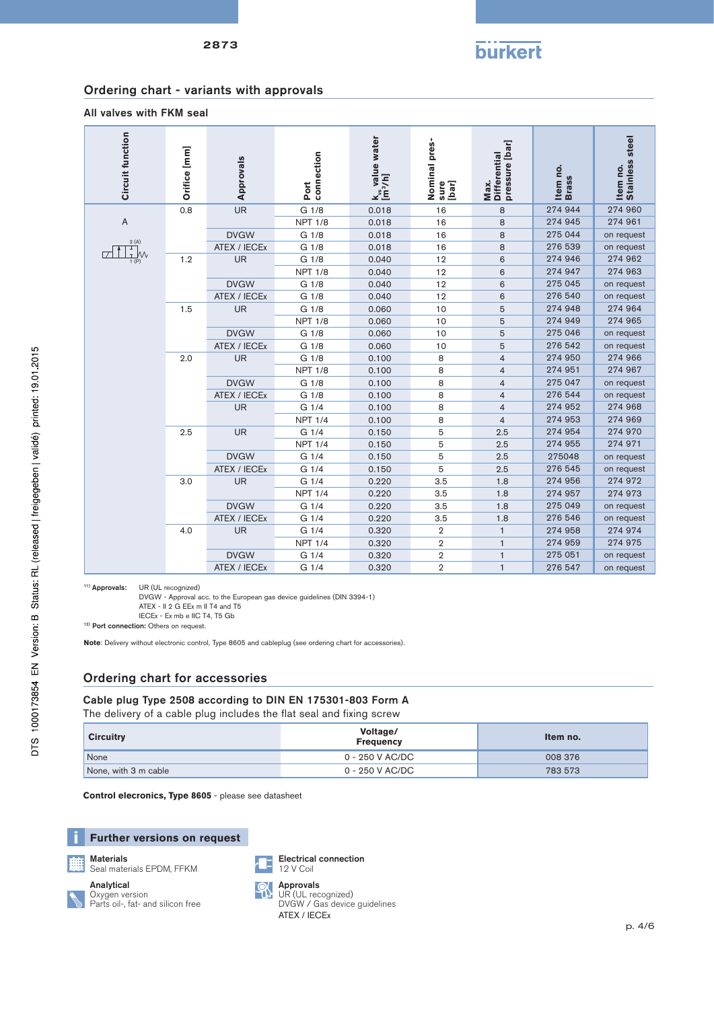#### Ordering chart - variants with approvals

2873

#### All valves with FKM seal

| <b>Circuit function</b>                                                                                                                                                                                                                                                                                                                                           | Orifice [mm] | Approvals    | connection<br>Port | k <sub>vs</sub> value water<br>[m <sup>3</sup> /h] | Nominal pres-<br>sure<br>[bar] | Max.<br>Differential<br>pressure [bar] | Item no.<br>Brass | Stainless steel<br>Item no. |
|-------------------------------------------------------------------------------------------------------------------------------------------------------------------------------------------------------------------------------------------------------------------------------------------------------------------------------------------------------------------|--------------|--------------|--------------------|----------------------------------------------------|--------------------------------|----------------------------------------|-------------------|-----------------------------|
|                                                                                                                                                                                                                                                                                                                                                                   | 0.8          | <b>UR</b>    | G 1/8              | 0.018                                              | 16                             | 8                                      | 274 944           | 274 960                     |
| A                                                                                                                                                                                                                                                                                                                                                                 |              |              | <b>NPT 1/8</b>     | 0.018                                              | 16                             | 8                                      | 274 945           | 274 961                     |
|                                                                                                                                                                                                                                                                                                                                                                   |              | <b>DVGW</b>  | G 1/8              | 0.018                                              | 16                             | 8                                      | 275 044           | on request                  |
| 2(A)<br>T                                                                                                                                                                                                                                                                                                                                                         |              | ATEX / IECEx | G 1/8              | 0.018                                              | 16                             | 8                                      | 276 539           | on request                  |
| W٧<br>1(P)                                                                                                                                                                                                                                                                                                                                                        | 1.2          | <b>UR</b>    | G 1/8              | 0.040                                              | 12                             | 6                                      | 274 946           | 274 962                     |
|                                                                                                                                                                                                                                                                                                                                                                   |              |              | <b>NPT 1/8</b>     | 0.040                                              | 12                             | 6                                      | 274 947           | 274 963                     |
|                                                                                                                                                                                                                                                                                                                                                                   |              | <b>DVGW</b>  | G 1/8              | 0.040                                              | 12                             | 6                                      | 275 045           | on request                  |
|                                                                                                                                                                                                                                                                                                                                                                   |              | ATEX / IECEx | G 1/8              | 0.040                                              | 12                             | 6                                      | 276 540           | on request                  |
|                                                                                                                                                                                                                                                                                                                                                                   | 1.5          | <b>UR</b>    | G 1/8              | 0.060                                              | 10                             | 5                                      | 274 948           | 274 964                     |
|                                                                                                                                                                                                                                                                                                                                                                   |              |              | <b>NPT 1/8</b>     | 0.060                                              | 10                             | 5                                      | 274 949           | 274 965                     |
|                                                                                                                                                                                                                                                                                                                                                                   |              | <b>DVGW</b>  | G 1/8              | 0.060                                              | 10                             | 5                                      | 275 046           | on request                  |
|                                                                                                                                                                                                                                                                                                                                                                   |              | ATEX / IECEx | G 1/8              | 0.060                                              | 10                             | 5                                      | 276 542           | on request                  |
|                                                                                                                                                                                                                                                                                                                                                                   | 2.0          | UR           | G 1/8              | 0.100                                              | 8                              | $\overline{4}$                         | 274 950           | 274 966                     |
|                                                                                                                                                                                                                                                                                                                                                                   |              |              | <b>NPT 1/8</b>     | 0.100                                              | 8                              | $\overline{4}$                         | 274 951           | 274 967                     |
|                                                                                                                                                                                                                                                                                                                                                                   |              | <b>DVGW</b>  | G 1/8              | 0.100                                              | 8                              | $\overline{4}$                         | 275 047           | on request                  |
|                                                                                                                                                                                                                                                                                                                                                                   |              | ATEX / IECEx | G 1/8              | 0.100                                              | 8                              | $\overline{4}$                         | 276 544           | on request                  |
|                                                                                                                                                                                                                                                                                                                                                                   |              | <b>UR</b>    | G 1/4              | 0.100                                              | 8                              | $\overline{4}$                         | 274 952           | 274 968                     |
|                                                                                                                                                                                                                                                                                                                                                                   |              |              | <b>NPT 1/4</b>     | 0.100                                              | 8                              | $\overline{4}$                         | 274 953           | 274 969                     |
|                                                                                                                                                                                                                                                                                                                                                                   | 2.5          | UR           | G 1/4              | 0.150                                              | 5                              | 2.5                                    | 274 954           | 274 970                     |
|                                                                                                                                                                                                                                                                                                                                                                   |              |              | <b>NPT 1/4</b>     | 0.150                                              | 5                              | 2.5                                    | 274 955           | 274 971                     |
|                                                                                                                                                                                                                                                                                                                                                                   |              | <b>DVGW</b>  | G 1/4              | 0.150                                              | 5                              | 2.5                                    | 275048            | on request                  |
|                                                                                                                                                                                                                                                                                                                                                                   |              | ATEX / IECEx | G 1/4              | 0.150                                              | 5                              | 2.5                                    | 276 545           | on request                  |
|                                                                                                                                                                                                                                                                                                                                                                   | 3.0          | <b>UR</b>    | G 1/4              | 0.220                                              | 3.5                            | 1.8                                    | 274 956           | 274 972                     |
|                                                                                                                                                                                                                                                                                                                                                                   |              |              | <b>NPT 1/4</b>     | 0.220                                              | 3.5                            | 1.8                                    | 274 957           | 274 973                     |
|                                                                                                                                                                                                                                                                                                                                                                   |              | <b>DVGW</b>  | G 1/4              | 0.220                                              | 3.5                            | 1.8                                    | 275 049           | on request                  |
|                                                                                                                                                                                                                                                                                                                                                                   |              | ATEX / IECEx | G 1/4              | 0.220                                              | 3.5                            | 1.8                                    | 276 546           | on request                  |
|                                                                                                                                                                                                                                                                                                                                                                   | 4.0          | <b>UR</b>    | G 1/4              | 0.320                                              | $\overline{2}$                 | $\mathbf{1}$                           | 274 958           | 274 974                     |
|                                                                                                                                                                                                                                                                                                                                                                   |              |              | <b>NPT 1/4</b>     | 0.320                                              | $\overline{2}$                 | $\mathbf{1}$                           | 274 959           | 274 975                     |
|                                                                                                                                                                                                                                                                                                                                                                   |              | <b>DVGW</b>  | G 1/4              | 0.320                                              | $\overline{2}$                 | $\mathbf{1}$                           | 275 051           | on request                  |
|                                                                                                                                                                                                                                                                                                                                                                   |              | ATEX / IECEx | G 1/4              | 0.320                                              | $\overline{2}$                 | $\mathbf{1}$                           | 276 547           | on request                  |
| <sup>11)</sup> Approvals:<br>UR (UL recognized)<br>DVGW - Approval acc. to the European gas device guidelines (DIN 3394-1)<br>ATEX - II 2 G EEx m II T4 and T5<br>IECEx - Ex mb e IIC T4, T5 Gb<br><sup>12)</sup> Port connection: Others on request.<br>Note: Delivery without electronic control, Type 8605 and cableplug (see ordering chart for accessories). |              |              |                    |                                                    |                                |                                        |                   |                             |

### Ordering chart for accessories

Cable plug Type 2508 according to DIN EN 175301-803 Form A The delivery of a cable plug includes the flat seal and fixing screw

| <b>Circuitry</b>     | Voltage/<br><b>Frequency</b> | Item no. |  |
|----------------------|------------------------------|----------|--|
| None                 | 0 - 250 V AC/DC              | 008 376  |  |
| None, with 3 m cable | 0 - 250 V AC/DC              | 783 573  |  |

**Control elecronics, Type 8605** - please see datasheet





**Materials** 

Seal materials EPDM, FFKM

Analytical Oxygen version Parts oil-, fat- and silicon free



Electrical connection



UR (UL recognized) DVGW / Gas device guidelines ATEX / IECEx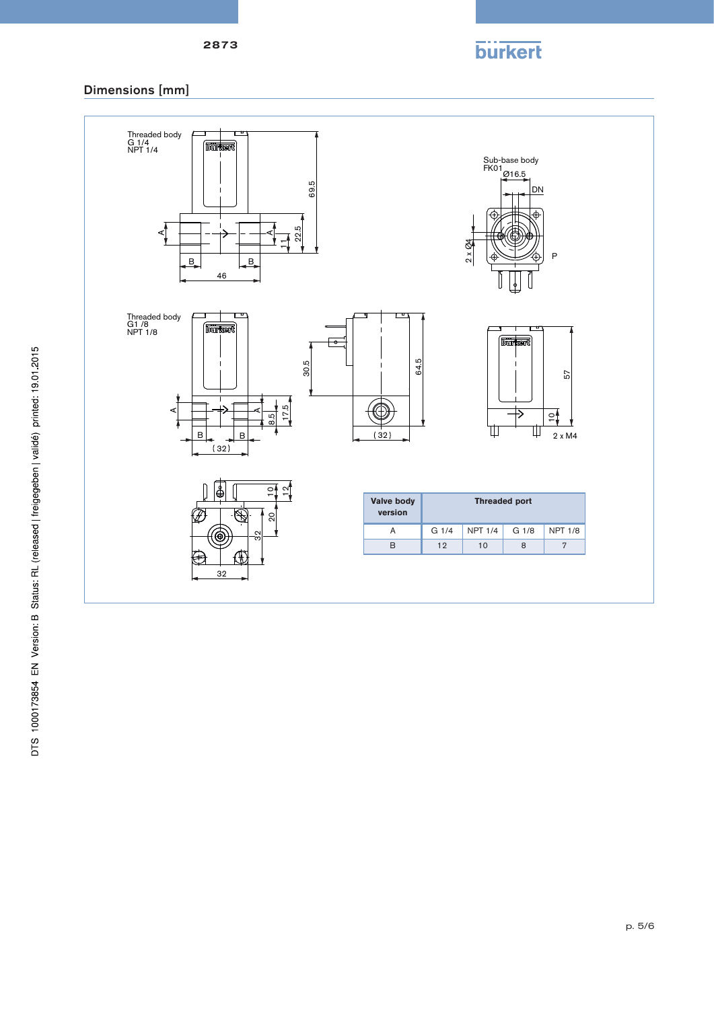# **burkert**

## Dimensions [mm]